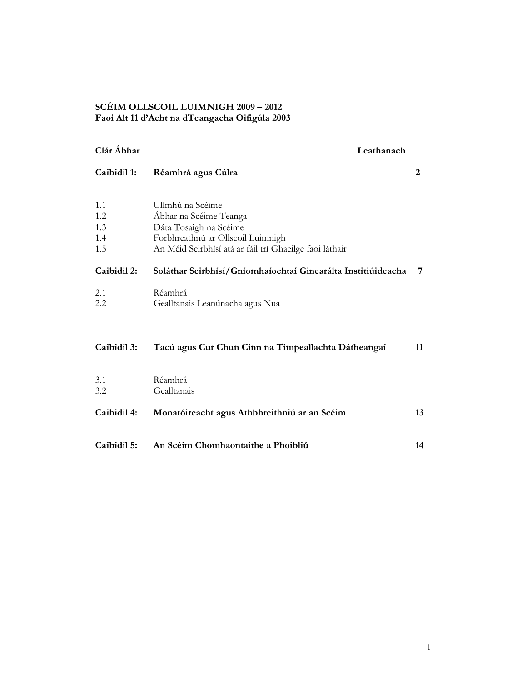# SCÉIM OLLSCOIL LUIMNIGH 2009 – 2012 Faoi Alt 11 d'Acht na dTeangacha Oifigúla 2003

| Clár Abhar                      | Leathanach                                                                                                                                                           |    |
|---------------------------------|----------------------------------------------------------------------------------------------------------------------------------------------------------------------|----|
| Caibidil 1:                     | Réamhrá agus Cúlra                                                                                                                                                   | 2  |
| 1.1<br>1.2<br>1.3<br>1.4<br>1.5 | Ullmhú na Scéime<br>Ábhar na Scéime Teanga<br>Dáta Tosaigh na Scéime<br>Forbhreathnú ar Ollscoil Luimnigh<br>An Méid Seirbhísí atá ar fáil trí Ghaeilge faoi láthair |    |
| Caibidil 2:                     | Soláthar Seirbhísí/Gníomhaíochtaí Ginearálta Institiúideacha                                                                                                         | 7  |
| 2.1<br>2.2                      | Réamhrá<br>Gealltanais Leanúnacha agus Nua                                                                                                                           |    |
| Caibidil 3:                     | Tacú agus Cur Chun Cinn na Timpeallachta Dátheangaí                                                                                                                  | 11 |
| 3.1<br>3.2                      | Réamhrá<br>Gealltanais                                                                                                                                               |    |
| Caibidil 4:                     | Monatóireacht agus Athbhreithniú ar an Scéim                                                                                                                         | 13 |
| Caibidil 5:                     | An Scéim Chomhaontaithe a Phoibliú                                                                                                                                   | 14 |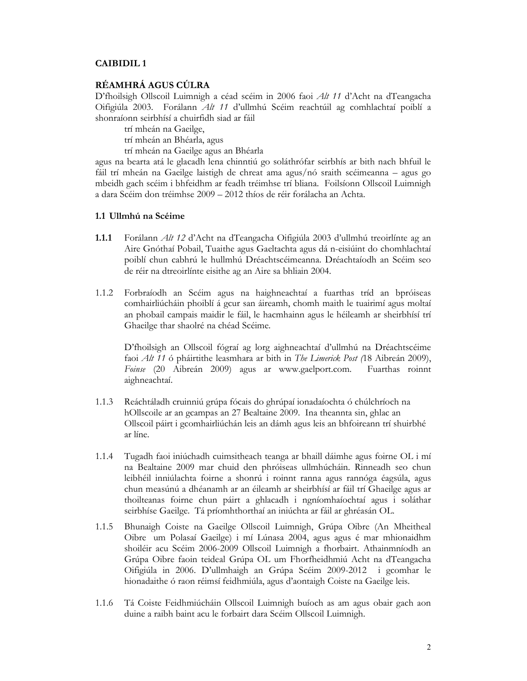#### CAIBIDIL 1

## RÉAMHRÁ AGUS CÚLRA

D'fhoilsigh Ollscoil Luimnigh a céad scéim in 2006 faoi Alt 11 d'Acht na dTeangacha Oifigiúla 2003. Forálann Alt 11 d'ullmhú Scéim reachtúil ag comhlachtaí poiblí a shonraíonn seirbhísí a chuirfidh siad ar fáil

trí mheán na Gaeilge,

trí mheán an Bhéarla, agus

trí mheán na Gaeilge agus an Bhéarla

agus na bearta atá le glacadh lena chinntiú go soláthrófar seirbhís ar bith nach bhfuil le fáil trí mheán na Gaeilge laistigh de chreat ama agus/nó sraith scéimeanna – agus go mbeidh gach scéim i bhfeidhm ar feadh tréimhse trí bliana. Foilsíonn Ollscoil Luimnigh a dara Scéim don tréimhse 2009 – 2012 thíos de réir forálacha an Achta.

#### 1.1 Ullmhú na Scéime

- 1.1.1 Forálann Alt 12 d'Acht na dTeangacha Oifigiúla 2003 d'ullmhú treoirlínte ag an Aire Gnóthaí Pobail, Tuaithe agus Gaeltachta agus dá n-eisiúint do chomhlachtaí poiblí chun cabhrú le hullmhú Dréachtscéimeanna. Dréachtaíodh an Scéim seo de réir na dtreoirlínte eisithe ag an Aire sa bhliain 2004.
- 1.1.2 Forbraíodh an Scéim agus na haighneachtaí a fuarthas tríd an bpróiseas comhairliúcháin phoiblí á gcur san áireamh, chomh maith le tuairimí agus moltaí an phobail campais maidir le fáil, le hacmhainn agus le héileamh ar sheirbhísí trí Ghaeilge thar shaolré na chéad Scéime.

D'fhoilsigh an Ollscoil fógraí ag lorg aighneachtaí d'ullmhú na Dréachtscéime faoi Alt 11 ó pháirtithe leasmhara ar bith in The Limerick Post (18 Aibreán 2009), Foinse (20 Aibreán 2009) agus ar www.gaelport.com. Fuarthas roinnt aighneachtaí.

- 1.1.3 Reáchtáladh cruinniú grúpa fócais do ghrúpaí ionadaíochta ó chúlchríoch na hOllscoile ar an gcampas an 27 Bealtaine 2009. Ina theannta sin, ghlac an Ollscoil páirt i gcomhairliúchán leis an dámh agus leis an bhfoireann trí shuirbhé ar líne.
- 1.1.4 Tugadh faoi iniúchadh cuimsitheach teanga ar bhaill dáimhe agus foirne OL i mí na Bealtaine 2009 mar chuid den phróiseas ullmhúcháin. Rinneadh seo chun leibhéil inniúlachta foirne a shonrú i roinnt ranna agus rannóga éagsúla, agus chun measúnú a dhéanamh ar an éileamh ar sheirbhísí ar fáil trí Ghaeilge agus ar thoilteanas foirne chun páirt a ghlacadh i ngníomhaíochtaí agus i soláthar seirbhíse Gaeilge. Tá príomhthorthaí an iniúchta ar fáil ar ghréasán OL.
- 1.1.5 Bhunaigh Coiste na Gaeilge Ollscoil Luimnigh, Grúpa Oibre (An Mheitheal Oibre um Polasaí Gaeilge) i mí Lúnasa 2004, agus agus é mar mhionaidhm shoiléir acu Scéim 2006-2009 Ollscoil Luimnigh a fhorbairt. Athainmníodh an Grúpa Oibre faoin teideal Grúpa OL um Fhorfheidhmiú Acht na dTeangacha Oifigiúla in 2006. D'ullmhaigh an Grúpa Scéim 2009-2012 i gcomhar le hionadaithe ó raon réimsí feidhmiúla, agus d'aontaigh Coiste na Gaeilge leis.
- 1.1.6 Tá Coiste Feidhmiúcháin Ollscoil Luimnigh buíoch as am agus obair gach aon duine a raibh baint acu le forbairt dara Scéim Ollscoil Luimnigh.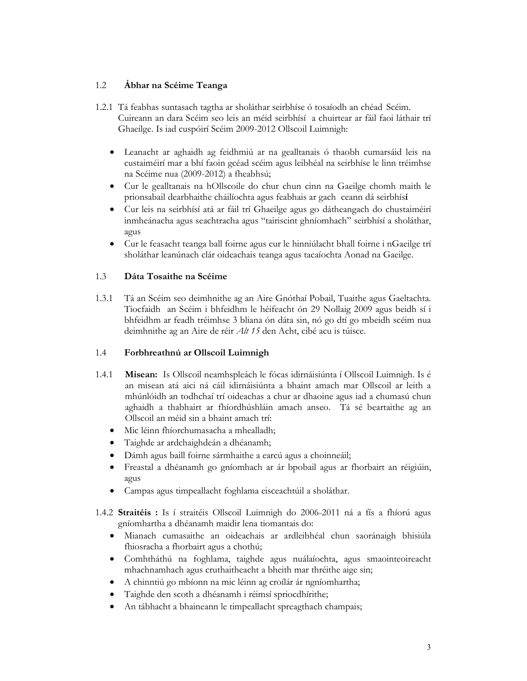# 1.2 Ábhar na Scéime Teanga

- 1.2.1 Tá feabhas suntasach tagtha ar sholáthar seirbhíse ó tosaíodh an chéad Scéim. Cuireann an dara Scéim seo leis an méid seirbhísí a chuirtear ar fáil faoi láthair trí Ghaeilge. Is iad cuspóirí Scéim 2009-2012 Ollscoil Luimnigh:
	- Leanacht ar aghaidh ag feidhmiú ar na gealltanais ó thaobh cumarsáid leis na custaiméirí mar a bhí faoin gcéad scéim agus leibhéal na seirbhíse le linn tréimhse na Scéime nua (2009-2012) a fheabhsú;
	- Cur le gealltanais na hOllscoile do chur chun cinn na Gaeilge chomh maith le prionsabail dearbhaithe cháilíochta agus feabhais ar gach ceann dá seirbhísí
	- Cur leis na seirbhísí atá ar fáil trí Ghaeilge agus go dátheangach do chustaiméirí inmheánacha agus seachtracha agus "tairiscint ghníomhach" seirbhísí a sholáthar, agus
	- Cur le feasacht teanga ball foirne agus cur le hinniúlacht bhall foirne i nGaeilge trí sholáthar leanúnach clár oideachais teanga agus tacaíochta Aonad na Gaeilge.

## 1.3 Dáta Tosaithe na Scéime

1.3.1 Tá an Scéim seo deimhnithe ag an Aire Gnóthaí Pobail, Tuaithe agus Gaeltachta. Tiocfaidh an Scéim i bhfeidhm le héifeacht ón 29 Nollaig 2009 agus beidh sí i bhfeidhm ar feadh tréimhse 3 bliana ón dáta sin, nó go dtí go mbeidh scéim nua deimhnithe ag an Aire de réir Alt 15 den Acht, cibé acu is túisce.

# 1.4 Forbhreathnú ar Ollscoil Luimnigh

- 1.4.1 Misean: Is Ollscoil neamhspleách le fócas idirnáisiúnta í Ollscoil Luimnigh. Is é an misean atá aici ná cáil idirnáisiúnta a bhaint amach mar Ollscoil ar leith a mhúnlóidh an todhchaí trí oideachas a chur ar dhaoine agus iad a chumasú chun aghaidh a thabhairt ar fhíordhúshláin amach anseo. Tá sé beartaithe ag an Ollscoil an méid sin a bhaint amach trí:
	- Mic léinn fhíorchumasacha a mhealladh;
	- Taighde ar ardchaighdeán a dhéanamh;
	- Dámh agus baill foirne sármhaithe a earcú agus a choinneáil;
	- Freastal a dhéanamh go gníomhach ar ár bpobail agus ar fhorbairt an réigiúin, agus
	- Campas agus timpeallacht foghlama eisceachtúil a sholáthar.
- 1.4.2 Straitéis : Is í straitéis Ollscoil Luimnigh do 2006-2011 ná a fís a fhíorú agus gníomhartha a dhéanamh maidir lena tiomantais do:
	- Mianach cumasaithe an oideachais ar ardleibhéal chun saoránaigh bhisiúla fhiosracha a fhorbairt agus a chothú;
	- Comhtháthú na foghlama, taighde agus nuálaíochta, agus smaointeoireacht mhachnamhach agus cruthaitheacht a bheith mar thréithe aige sin;
	- A chinntiú go mbíonn na mic léinn ag croílár ár ngníomhartha;
	- Taighde den scoth a dhéanamh i réimsí spriocdhírithe;
	- An tábhacht a bhaineann le timpeallacht spreagthach champais;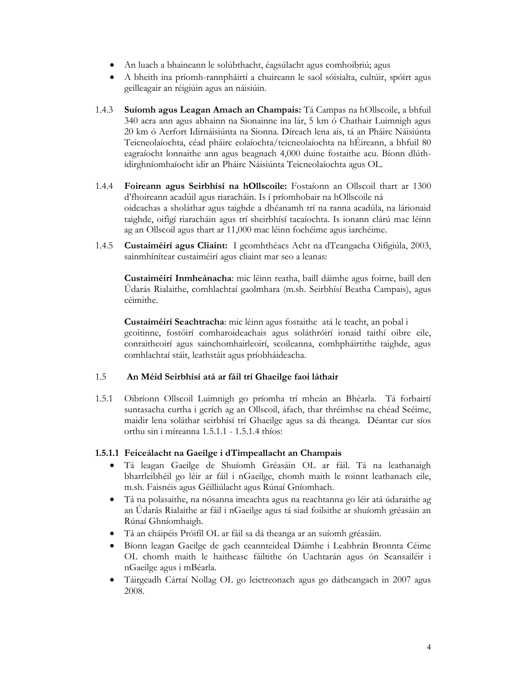- An luach a bhaineann le solúbthacht, éagsúlacht agus comhoibriú; agus
- A bheith ina príomh-rannpháirtí a chuireann le saol sóisialta, cultúir, spóirt agus geilleagair an réigiúin agus an náisiúin.
- 1.4.3 Suíomh agus Leagan Amach an Champais: Tá Campas na hOllscoile, a bhfuil 340 acra ann agus abhainn na Sionainne ina lár, 5 km ó Chathair Luimnigh agus 20 km ó Aerfort Idirnáisiúnta na Sionna. Díreach lena ais, tá an Pháirc Náisiúnta Teicneolaíochta, céad pháirc eolaíochta/teicneolaíochta na hÉireann, a bhfuil 80 eagraíocht lonnaithe ann agus beagnach 4,000 duine fostaithe acu. Bíonn dlúthidirghníomhaíocht idir an Pháirc Náisiúnta Teicneolaíochta agus OL.
- 1.4.4 Foireann agus Seirbhísí na hOllscoile: Fostaíonn an Ollscoil thart ar 1300 d'fhoireann acadúil agus riaracháin. Is í príomhobair na hOllscoile ná oideachas a sholáthar agus taighde a dhéanamh trí na ranna acadúla, na lárionaid taighde, oifigí riaracháin agus trí sheirbhísí tacaíochta. Is ionann clárú mac léinn ag an Ollscoil agus thart ar 11,000 mac léinn fochéime agus iarchéime.
- 1.4.5 Custaiméirí agus Cliaint: I gcomhthéacs Acht na dTeangacha Oifigiúla, 2003, sainmhínítear custaiméirí agus cliaint mar seo a leanas:

Custaiméirí Inmheánacha: mic léinn reatha, baill dáimhe agus foirne, baill den Údarás Rialaithe, comhlachtaí gaolmhara (m.sh. Seirbhísí Beatha Campais), agus céimithe.

Custaiméirí Seachtracha: mic léinn agus fostaithe atá le teacht, an pobal i gcoitinne, fostóirí comharoideachais agus soláthróirí ionaid taithí oibre eile, conraitheoirí agus sainchomhairleoirí, scoileanna, comhpháirtithe taighde, agus comhlachtaí stáit, leathstáit agus príobháideacha.

# 1.5 An Méid Seirbhísí atá ar fáil trí Ghaeilge faoi láthair

1.5.1 Oibríonn Ollscoil Luimnigh go príomha trí mheán an Bhéarla. Tá forbairtí suntasacha curtha i gcrích ag an Ollscoil, áfach, thar thréimhse na chéad Scéime, maidir lena soláthar seirbhísí trí Ghaeilge agus sa dá theanga. Déantar cur síos orthu sin i míreanna 1.5.1.1 - 1.5.1.4 thíos:

### 1.5.1.1 Feiceálacht na Gaeilge i dTimpeallacht an Champais

- Tá leagan Gaeilge de Shuíomh Gréasáin OL ar fáil. Tá na leathanaigh bharrleibhéil go léir ar fáil i nGaeilge, chomh maith le roinnt leathanach eile, m.sh. Faisnéis agus Géilliúlacht agus Rúnaí Gníomhach.
- Tá na polasaithe, na nósanna imeachta agus na reachtanna go léir atá údaraithe ag an Údarás Rialaithe ar fáil i nGaeilge agus tá siad foilsithe ar shuíomh gréasáin an Rúnaí Ghníomhaigh.
- Tá an cháipéis Próifíl OL ar fáil sa dá theanga ar an suíomh gréasáin.
- Bíonn leagan Gaeilge de gach ceannteideal Dáimhe i Leabhrán Bronnta Céime OL chomh maith le haitheasc fáiltithe ón Uachtarán agus ón Seansailéir i nGaeilge agus i mBéarla.
- Táirgeadh Cártaí Nollag OL go leictreonach agus go dátheangach in 2007 agus 2008.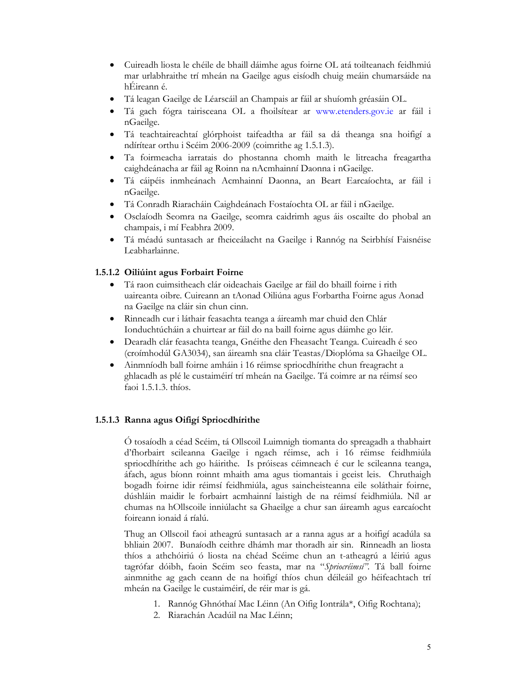- Cuireadh liosta le chéile de bhaill dáimhe agus foirne OL atá toilteanach feidhmiú mar urlabhraithe trí mheán na Gaeilge agus eisíodh chuig meáin chumarsáide na hÉireann é.
- Tá leagan Gaeilge de Léarscáil an Champais ar fáil ar shuíomh gréasáin OL.
- Tá gach fógra tairisceana OL a fhoilsítear ar www.etenders.gov.ie ar fáil i nGaeilge.
- Tá teachtaireachtaí glórphoist taifeadtha ar fáil sa dá theanga sna hoifigí a ndírítear orthu i Scéim 2006-2009 (coimrithe ag 1.5.1.3).
- Ta foirmeacha iarratais do phostanna chomh maith le litreacha freagartha caighdeánacha ar fáil ag Roinn na nAcmhainní Daonna i nGaeilge.
- Tá cáipéis inmheánach Acmhainní Daonna, an Beart Earcaíochta, ar fáil i nGaeilge.
- Tá Conradh Riaracháin Caighdeánach Fostaíochta OL ar fáil i nGaeilge.
- Osclaíodh Seomra na Gaeilge, seomra caidrimh agus áis oscailte do phobal an champais, i mí Feabhra 2009.
- Tá méadú suntasach ar fheiceálacht na Gaeilge i Rannóg na Seirbhísí Faisnéise Leabharlainne.

# 1.5.1.2 Oiliúint agus Forbairt Foirne

- Tá raon cuimsitheach clár oideachais Gaeilge ar fáil do bhaill foirne i rith uaireanta oibre. Cuireann an tAonad Oiliúna agus Forbartha Foirne agus Aonad na Gaeilge na cláir sin chun cinn.
- Rinneadh cur i láthair feasachta teanga a áireamh mar chuid den Chlár Ionduchtúcháin a chuirtear ar fáil do na baill foirne agus dáimhe go léir.
- Dearadh clár feasachta teanga, Gnéithe den Fheasacht Teanga. Cuireadh é seo (croímhodúl GA3034), san áireamh sna cláir Teastas/Dioplóma sa Ghaeilge OL.
- Ainmníodh ball foirne amháin i 16 réimse spriocdhírithe chun freagracht a ghlacadh as plé le custaiméirí trí mheán na Gaeilge. Tá coimre ar na réimsí seo faoi 1.5.1.3. thíos.

### 1.5.1.3 Ranna agus Oifigí Spriocdhírithe

Ó tosaíodh a céad Scéim, tá Ollscoil Luimnigh tiomanta do spreagadh a thabhairt d'fhorbairt scileanna Gaeilge i ngach réimse, ach i 16 réimse feidhmiúla spriocdhírithe ach go háirithe. Is próiseas céimneach é cur le scileanna teanga, áfach, agus bíonn roinnt mhaith ama agus tiomantais i gceist leis. Chruthaigh bogadh foirne idir réimsí feidhmiúla, agus saincheisteanna eile soláthair foirne, dúshláin maidir le forbairt acmhainní laistigh de na réimsí feidhmiúla. Níl ar chumas na hOllscoile inniúlacht sa Ghaeilge a chur san áireamh agus earcaíocht foireann ionaid á ríalú.

Thug an Ollscoil faoi atheagrú suntasach ar a ranna agus ar a hoifigí acadúla sa bhliain 2007. Bunaíodh ceithre dhámh mar thoradh air sin. Rinneadh an liosta thíos a athchóiriú ó liosta na chéad Scéime chun an t-atheagrú a léiriú agus tagrófar dóibh, faoin Scéim seo feasta, mar na "Spriocréimsí". Tá ball foirne ainmnithe ag gach ceann de na hoifigí thíos chun déileáil go héifeachtach trí mheán na Gaeilge le custaiméirí, de réir mar is gá.

- 1. Rannóg Ghnóthaí Mac Léinn (An Oifig Iontrála\*, Oifig Rochtana);
- 2. Riarachán Acadúil na Mac Léinn;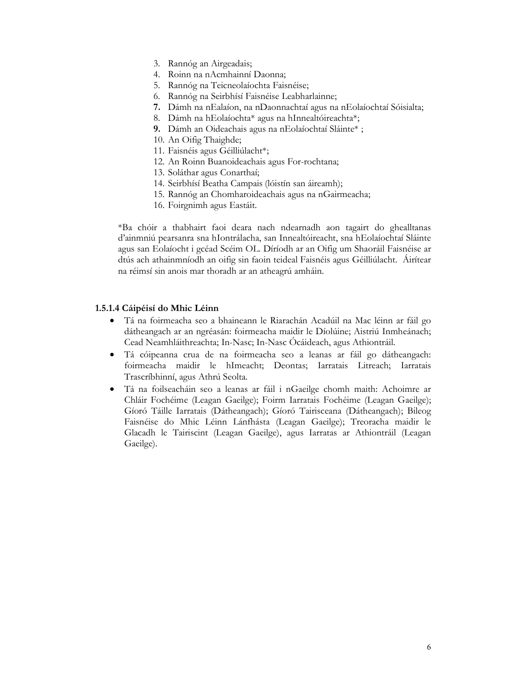- 3. Rannóg an Airgeadais;
- 4. Roinn na nAcmhainní Daonna;
- 5. Rannóg na Teicneolaíochta Faisnéise;
- 6. Rannóg na Seirbhísí Faisnéise Leabharlainne;
- 7. Dámh na nEalaíon, na nDaonnachtaí agus na nEolaíochtaí Sóisialta;
- 8. Dámh na hEolaíochta\* agus na hInnealtóireachta\*;
- 9. Dámh an Oideachais agus na nEolaíochtaí Sláinte\* ;
- 10. An Oifig Thaighde;
- 11. Faisnéis agus Géilliúlacht\*;
- 12. An Roinn Buanoideachais agus For-rochtana;
- 13. Soláthar agus Conarthaí;
- 14. Seirbhísí Beatha Campais (lóistín san áireamh);
- 15. Rannóg an Chomharoideachais agus na nGairmeacha;
- 16. Foirgnimh agus Eastáit.

\*Ba chóir a thabhairt faoi deara nach ndearnadh aon tagairt do ghealltanas d'ainmniú pearsanra sna hIontrálacha, san Innealtóireacht, sna hEolaíochtaí Sláinte agus san Eolaíocht i gcéad Scéim OL. Díríodh ar an Oifig um Shaoráil Faisnéise ar dtús ach athainmníodh an oifig sin faoin teideal Faisnéis agus Géilliúlacht. Áirítear na réimsí sin anois mar thoradh ar an atheagrú amháin.

#### 1.5.1.4 Cáipéisí do Mhic Léinn

- Tá na foirmeacha seo a bhaineann le Riarachán Acadúil na Mac léinn ar fáil go dátheangach ar an ngréasán: foirmeacha maidir le Díolúine; Aistriú Inmheánach; Cead Neamhláithreachta; In-Nasc; In-Nasc Ócáideach, agus Athiontráil.
- Tá cóipeanna crua de na foirmeacha seo a leanas ar fáil go dátheangach: foirmeacha maidir le hImeacht; Deontas; Iarratais Litreach; Iarratais Trascríbhinní, agus Athrú Seolta.
- Tá na foilseacháin seo a leanas ar fáil i nGaeilge chomh maith: Achoimre ar Chláir Fochéime (Leagan Gaeilge); Foirm Iarratais Fochéime (Leagan Gaeilge); Gíoró Táille Iarratais (Dátheangach); Gíoró Tairisceana (Dátheangach); Bileog Faisnéise do Mhic Léinn Lánfhásta (Leagan Gaeilge); Treoracha maidir le Glacadh le Tairiscint (Leagan Gaeilge), agus Iarratas ar Athiontráil (Leagan Gaeilge).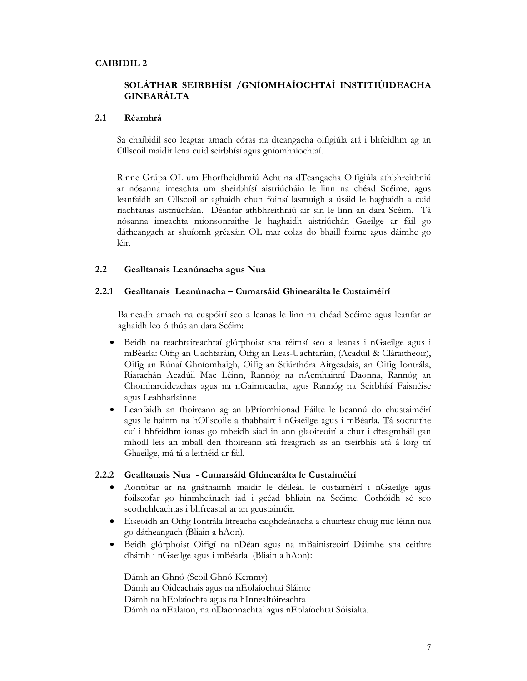## CAIBIDIL 2

# SOLÁTHAR SEIRBHÍSI /GNÍOMHAÍOCHTAÍ INSTITIÚIDEACHA GINEARÁLTA

#### 2.1 Réamhrá

Sa chaibidil seo leagtar amach córas na dteangacha oifigiúla atá i bhfeidhm ag an Ollscoil maidir lena cuid seirbhísí agus gníomhaíochtaí.

Rinne Grúpa OL um Fhorfheidhmiú Acht na dTeangacha Oifigiúla athbhreithniú ar nósanna imeachta um sheirbhísí aistriúcháin le linn na chéad Scéime, agus leanfaidh an Ollscoil ar aghaidh chun foinsí lasmuigh a úsáid le haghaidh a cuid riachtanas aistriúcháin. Déanfar athbhreithniú air sin le linn an dara Scéim. Tá nósanna imeachta mionsonraithe le haghaidh aistriúchán Gaeilge ar fáil go dátheangach ar shuíomh gréasáin OL mar eolas do bhaill foirne agus dáimhe go léir.

#### 2.2 Gealltanais Leanúnacha agus Nua

#### 2.2.1 Gealltanais Leanúnacha – Cumarsáid Ghinearálta le Custaiméirí

Baineadh amach na cuspóirí seo a leanas le linn na chéad Scéime agus leanfar ar aghaidh leo ó thús an dara Scéim:

- Beidh na teachtaireachtaí glórphoist sna réimsí seo a leanas i nGaeilge agus i mBéarla: Oifig an Uachtaráin, Oifig an Leas-Uachtaráin, (Acadúil & Cláraitheoir), Oifig an Rúnaí Ghníomhaigh, Oifig an Stiúrthóra Airgeadais, an Oifig Iontrála, Riarachán Acadúil Mac Léinn, Rannóg na nAcmhainní Daonna, Rannóg an Chomharoideachas agus na nGairmeacha, agus Rannóg na Seirbhísí Faisnéise agus Leabharlainne
- Leanfaidh an fhoireann ag an bPríomhionad Fáilte le beannú do chustaiméirí agus le hainm na hOllscoile a thabhairt i nGaeilge agus i mBéarla. Tá socruithe cuí i bhfeidhm ionas go mbeidh siad in ann glaoiteoirí a chur i dteagmháil gan mhoill leis an mball den fhoireann atá freagrach as an tseirbhís atá á lorg trí Ghaeilge, má tá a leithéid ar fáil.

#### 2.2.2 Gealltanais Nua - Cumarsáid Ghinearálta le Custaiméirí

- Aontófar ar na gnáthaimh maidir le déileáil le custaiméirí i nGaeilge agus foilseofar go hinmheánach iad i gcéad bhliain na Scéime. Cothóidh sé seo scothchleachtas i bhfreastal ar an gcustaiméir.
- Eiseoidh an Oifig Iontrála litreacha caighdeánacha a chuirtear chuig mic léinn nua go dátheangach (Bliain a hAon).
- Beidh glórphoist Oifigí na nDéan agus na mBainisteoirí Dáimhe sna ceithre dhámh i nGaeilge agus i mBéarla (Bliain a hAon):

Dámh an Ghnó (Scoil Ghnó Kemmy) Dámh an Oideachais agus na nEolaíochtaí Sláinte Dámh na hEolaíochta agus na hInnealtóireachta Dámh na nEalaíon, na nDaonnachtaí agus nEolaíochtaí Sóisialta.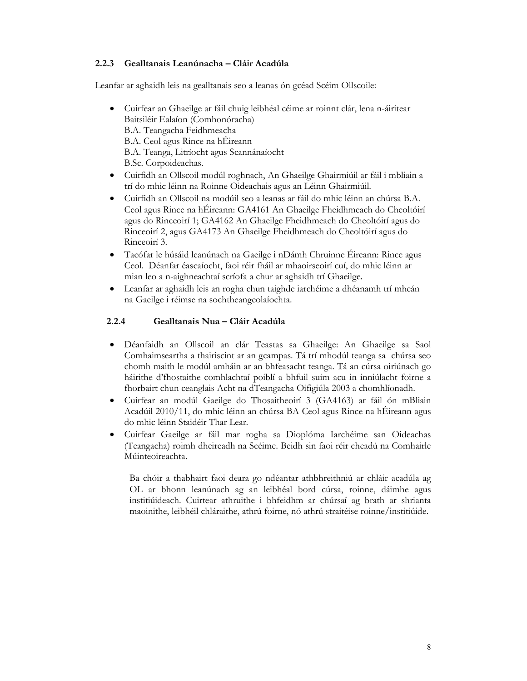## 2.2.3 Gealltanais Leanúnacha – Cláir Acadúla

Leanfar ar aghaidh leis na gealltanais seo a leanas ón gcéad Scéim Ollscoile:

- Cuirfear an Ghaeilge ar fáil chuig leibhéal céime ar roinnt clár, lena n-áirítear Baitsiléir Ealaíon (Comhonóracha) B.A. Teangacha Feidhmeacha B.A. Ceol agus Rince na hÉireann B.A. Teanga, Litríocht agus Scannánaíocht B.Sc. Corpoideachas.
- Cuirfidh an Ollscoil modúl roghnach, An Ghaeilge Ghairmiúil ar fáil i mbliain a trí do mhic léinn na Roinne Oideachais agus an Léinn Ghairmiúil.
- Cuirfidh an Ollscoil na modúil seo a leanas ar fáil do mhic léinn an chúrsa B.A. Ceol agus Rince na hÉireann: GA4161 An Ghaeilge Fheidhmeach do Cheoltóirí agus do Rinceoirí 1; GA4162 An Ghaeilge Fheidhmeach do Cheoltóirí agus do Rinceoirí 2, agus GA4173 An Ghaeilge Fheidhmeach do Cheoltóirí agus do Rinceoirí 3.
- Tacófar le húsáid leanúnach na Gaeilge i nDámh Chruinne Éireann: Rince agus Ceol. Déanfar éascaíocht, faoi réir fháil ar mhaoirseoirí cuí, do mhic léinn ar mian leo a n-aighneachtaí scríofa a chur ar aghaidh trí Ghaeilge.
- Leanfar ar aghaidh leis an rogha chun taighde iarchéime a dhéanamh trí mheán na Gaeilge i réimse na sochtheangeolaíochta.

## 2.2.4 Gealltanais Nua – Cláir Acadúla

- Déanfaidh an Ollscoil an clár Teastas sa Ghaeilge: An Ghaeilge sa Saol Comhaimseartha a thairiscint ar an gcampas. Tá trí mhodúl teanga sa chúrsa seo chomh maith le modúl amháin ar an bhfeasacht teanga. Tá an cúrsa oiriúnach go háirithe d'fhostaithe comhlachtaí poiblí a bhfuil suim acu in inniúlacht foirne a fhorbairt chun ceanglais Acht na dTeangacha Oifigiúla 2003 a chomhlíonadh.
- Cuirfear an modúl Gaeilge do Thosaitheoirí 3 (GA4163) ar fáil ón mBliain Acadúil 2010/11, do mhic léinn an chúrsa BA Ceol agus Rince na hÉireann agus do mhic léinn Staidéir Thar Lear.
- Cuirfear Gaeilge ar fáil mar rogha sa Dioplóma Iarchéime san Oideachas (Teangacha) roimh dheireadh na Scéime. Beidh sin faoi réir cheadú na Comhairle Múinteoireachta.

Ba chóir a thabhairt faoi deara go ndéantar athbhreithniú ar chláir acadúla ag OL ar bhonn leanúnach ag an leibhéal bord cúrsa, roinne, dáimhe agus institiúideach. Cuirtear athruithe i bhfeidhm ar chúrsaí ag brath ar shrianta maoinithe, leibhéil chláraithe, athrú foirne, nó athrú straitéise roinne/institiúide.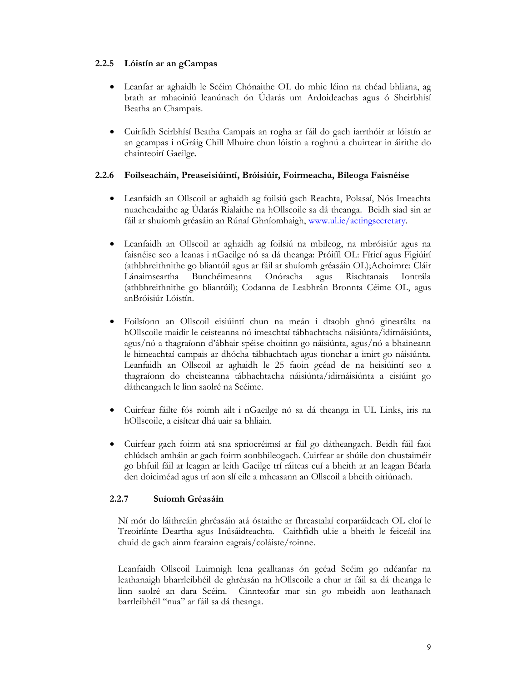## 2.2.5 Lóistín ar an gCampas

- Leanfar ar aghaidh le Scéim Chónaithe OL do mhic léinn na chéad bhliana, ag brath ar mhaoiniú leanúnach ón Údarás um Ardoideachas agus ó Sheirbhísí Beatha an Champais.
- Cuirfidh Seirbhísí Beatha Campais an rogha ar fáil do gach iarrthóir ar lóistín ar an gcampas i nGráig Chill Mhuire chun lóistín a roghnú a chuirtear in áirithe do chainteoirí Gaeilge.

## 2.2.6 Foilseacháin, Preaseisiúintí, Bróisiúir, Foirmeacha, Bileoga Faisnéise

- Leanfaidh an Ollscoil ar aghaidh ag foilsiú gach Reachta, Polasaí, Nós Imeachta nuacheadaithe ag Údarás Rialaithe na hOllscoile sa dá theanga. Beidh siad sin ar fáil ar shuíomh gréasáin an Rúnaí Ghníomhaigh, www.ul.ie/actingsecretary.
- Leanfaidh an Ollscoil ar aghaidh ag foilsiú na mbileog, na mbróisiúr agus na faisnéise seo a leanas i nGaeilge nó sa dá theanga: Próifíl OL: Fíricí agus Figiúirí (athbhreithnithe go bliantúil agus ar fáil ar shuíomh gréasáin OL);Achoimre: Cláir Lánaimseartha Bunchéimeanna Onóracha agus Riachtanais Iontrála (athbhreithnithe go bliantúil); Codanna de Leabhrán Bronnta Céime OL, agus anBróisiúr Lóistín.
- Foilsíonn an Ollscoil eisiúintí chun na meán i dtaobh ghnó ginearálta na hOllscoile maidir le ceisteanna nó imeachtaí tábhachtacha náisiúnta/idirnáisiúnta, agus/nó a thagraíonn d'ábhair spéise choitinn go náisiúnta, agus/nó a bhaineann le himeachtaí campais ar dhócha tábhachtach agus tionchar a imirt go náisiúnta. Leanfaidh an Ollscoil ar aghaidh le 25 faoin gcéad de na heisiúintí seo a thagraíonn do cheisteanna tábhachtacha náisiúnta/idirnáisiúnta a eisiúint go dátheangach le linn saolré na Scéime.
- Cuirfear fáilte fós roimh ailt i nGaeilge nó sa dá theanga in UL Links, iris na hOllscoile, a eisítear dhá uair sa bhliain.
- Cuirfear gach foirm atá sna spriocréimsí ar fáil go dátheangach. Beidh fáil faoi chlúdach amháin ar gach foirm aonbhileogach. Cuirfear ar shúile don chustaiméir go bhfuil fáil ar leagan ar leith Gaeilge trí ráiteas cuí a bheith ar an leagan Béarla den doiciméad agus trí aon slí eile a mheasann an Ollscoil a bheith oiriúnach.

# 2.2.7 Suíomh Gréasáin

Ní mór do láithreáin ghréasáin atá óstaithe ar fhreastalaí corparáideach OL cloí le Treoirlínte Deartha agus Inúsáidteachta. Caithfidh ul.ie a bheith le feiceáil ina chuid de gach ainm fearainn eagrais/coláiste/roinne.

Leanfaidh Ollscoil Luimnigh lena gealltanas ón gcéad Scéim go ndéanfar na leathanaigh bharrleibhéil de ghréasán na hOllscoile a chur ar fáil sa dá theanga le linn saolré an dara Scéim. Cinnteofar mar sin go mbeidh aon leathanach barrleibhéil "nua" ar fáil sa dá theanga.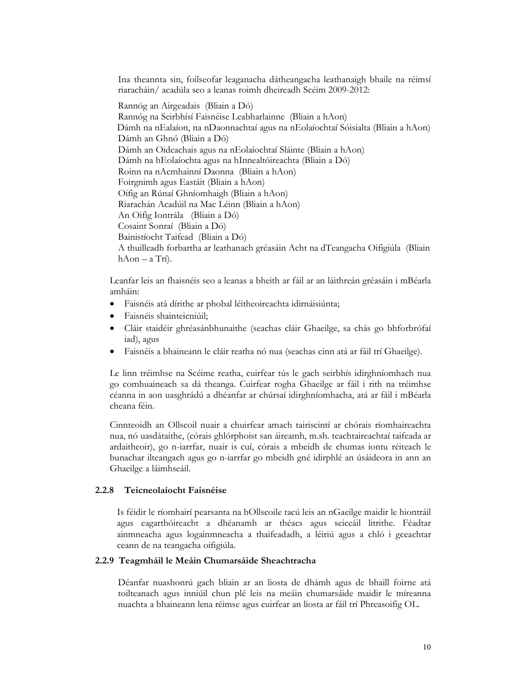Ina theannta sin, foilseofar leaganacha dátheangacha leathanaigh bhaile na réimsí riaracháin/ acadúla seo a leanas roimh dheireadh Scéim 2009-2012:

Rannóg an Airgeadais (Bliain a Dó) Rannóg na Seirbhísí Faisnéise Leabharlainne (Bliain a hAon) Dámh na nEalaíon, na nDaonnachtaí agus na nEolaíochtaí Sóisialta (Bliain a hAon) Dámh an Ghnó (Bliain a Dó) Dámh an Oideachais agus na nEolaíochtaí Sláinte (Bliain a hAon) Dámh na hEolaíochta agus na hInnealtóireachta (Bliain a Dó) Roinn na nAcmhainní Daonna (Bliain a hAon) Foirgnimh agus Eastáit (Bliain a hAon) Oifig an Rúnaí Ghníomhaigh (Bliain a hAon) Riarachán Acadúil na Mac Léinn (Bliain a hAon) An Oifig Iontrála (Bliain a Dó) Cosaint Sonraí (Bliain a Dó) Bainistíocht Taifead (Bliain a Dó) A thuilleadh forbartha ar leathanach gréasáin Acht na dTeangacha Oifigiúla (Bliain hAon – a Trí).

Leanfar leis an fhaisnéis seo a leanas a bheith ar fáil ar an láithreán gréasáin i mBéarla amháin:

- Faisnéis atá dírithe ar phobal léitheoireachta idirnáisiúnta;
- Faisnéis shainteicniúil;
- Cláir staidéir ghréasánbhunaithe (seachas cláir Ghaeilge, sa chás go bhforbrófaí iad), agus
- Faisnéis a bhaineann le cláir reatha nó nua (seachas cinn atá ar fáil trí Ghaeilge).

Le linn tréimhse na Scéime reatha, cuirfear tús le gach seirbhís idirghníomhach nua go comhuaineach sa dá theanga. Cuirfear rogha Ghaeilge ar fáil i rith na tréimhse céanna in aon uasghrádú a dhéanfar ar chúrsaí idirghníomhacha, atá ar fáil i mBéarla cheana féin.

Cinnteoidh an Ollscoil nuair a chuirfear amach tairiscintí ar chórais ríomhaireachta nua, nó uasdátaithe, (córais ghlórphoist san áireamh, m.sh. teachtaireachtaí taifeada ar ardaitheoir), go n-iarrfar, nuair is cuí, córais a mbeidh de chumas iontu réiteach le bunachar ilteangach agus go n-iarrfar go mbeidh gné idirphlé an úsáideora in ann an Ghaeilge a láimhseáil.

#### 2.2.8 Teicneolaíocht Faisnéise

Is féidir le ríomhairí pearsanta na hOllscoile tacú leis an nGaeilge maidir le hiontráil agus eagarthóireacht a dhéanamh ar théacs agus seiceáil litrithe. Féadtar ainmneacha agus logainmneacha a thaifeadadh, a léiriú agus a chló i gceachtar ceann de na teangacha oifigiúla.

#### 2.2.9 Teagmháil le Meáin Chumarsáide Sheachtracha

Déanfar nuashonrú gach bliain ar an liosta de dhámh agus de bhaill foirne atá toilteanach agus inniúil chun plé leis na meáin chumarsáide maidir le míreanna nuachta a bhaineann lena réimse agus cuirfear an liosta ar fáil trí Phreasoifig OL.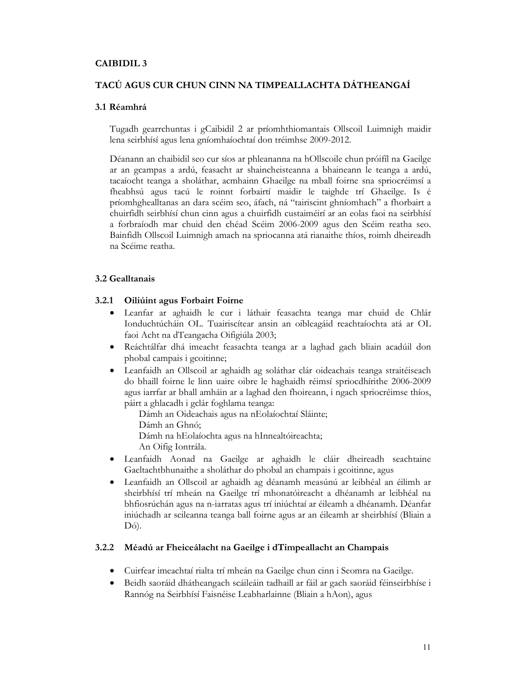## CAIBIDIL 3

# TACÚ AGUS CUR CHUN CINN NA TIMPEALLACHTA DÁTHEANGAÍ

## 3.1 Réamhrá

Tugadh gearrchuntas i gCaibidil 2 ar príomhthiomantais Ollscoil Luimnigh maidir lena seirbhísí agus lena gníomhaíochtaí don tréimhse 2009-2012.

Déanann an chaibidil seo cur síos ar phleananna na hOllscoile chun próifíl na Gaeilge ar an gcampas a ardú, feasacht ar shaincheisteanna a bhaineann le teanga a ardú, tacaíocht teanga a sholáthar, acmhainn Ghaeilge na mball foirne sna spriocréimsí a fheabhsú agus tacú le roinnt forbairtí maidir le taighde trí Ghaeilge. Is é príomhghealltanas an dara scéim seo, áfach, ná "tairiscint ghníomhach" a fhorbairt a chuirfidh seirbhísí chun cinn agus a chuirfidh custaiméirí ar an eolas faoi na seirbhísí a forbraíodh mar chuid den chéad Scéim 2006-2009 agus den Scéim reatha seo. Bainfidh Ollscoil Luimnigh amach na spriocanna atá rianaithe thíos, roimh dheireadh na Scéime reatha.

### 3.2 Gealltanais

## 3.2.1 Oiliúint agus Forbairt Foirne

- Leanfar ar aghaidh le cur i láthair feasachta teanga mar chuid de Chlár Ionduchtúcháin OL. Tuairiscítear ansin an oibleagáid reachtaíochta atá ar OL faoi Acht na dTeangacha Oifigiúla 2003;
- Reáchtálfar dhá imeacht feasachta teanga ar a laghad gach bliain acadúil don phobal campais i gcoitinne;
- Leanfaidh an Ollscoil ar aghaidh ag soláthar clár oideachais teanga straitéiseach do bhaill foirne le linn uaire oibre le haghaidh réimsí spriocdhírithe 2006-2009 agus iarrfar ar bhall amháin ar a laghad den fhoireann, i ngach spriocréimse thíos, páirt a ghlacadh i gclár foghlama teanga:

Dámh an Oideachais agus na nEolaíochtaí Sláinte;

Dámh an Ghnó;

Dámh na hEolaíochta agus na hInnealtóireachta;

An Oifig Iontrála.

- Leanfaidh Aonad na Gaeilge ar aghaidh le cláir dheireadh seachtaine Gaeltachtbhunaithe a sholáthar do phobal an champais i gcoitinne, agus
- Leanfaidh an Ollscoil ar aghaidh ag déanamh measúnú ar leibhéal an éilimh ar sheirbhísí trí mheán na Gaeilge trí mhonatóireacht a dhéanamh ar leibhéal na bhfiosrúchán agus na n-iarratas agus trí iniúchtaí ar éileamh a dhéanamh. Déanfar iniúchadh ar scileanna teanga ball foirne agus ar an éileamh ar sheirbhísí (Bliain a Dó).

### 3.2.2 Méadú ar Fheiceálacht na Gaeilge i dTimpeallacht an Champais

- Cuirfear imeachtaí rialta trí mheán na Gaeilge chun cinn i Seomra na Gaeilge.
- Beidh saoráid dhátheangach scáileáin tadhaill ar fáil ar gach saoráid féinseirbhíse i Rannóg na Seirbhísí Faisnéise Leabharlainne (Bliain a hAon), agus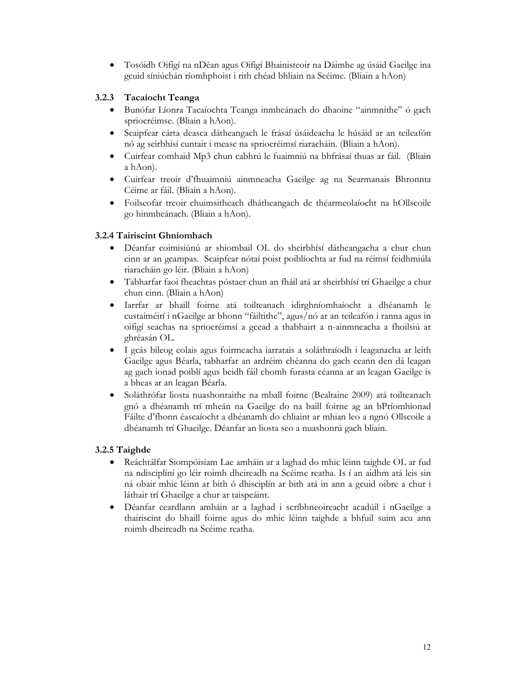• Tosóidh Oifigí na nDéan agus Oifigí Bhainisteoir na Dáimhe ag úsáid Gaeilge ina gcuid síniúchán ríomhphoist i rith chéad bhliain na Scéime. (Bliain a hAon)

# 3.2.3 Tacaíocht Teanga

- Bunófar Líonra Tacaíochta Teanga inmheánach do dhaoine "ainmnithe" ó gach spriocréimse. (Bliain a hAon).
- Scaipfear cárta deasca dátheangach le frásaí úsáideacha le húsáid ar an teileafón nó ag seirbhísí cuntair i measc na spriocréimsí riaracháin. (Bliain a hAon).
- Cuirfear comhaid Mp3 chun cabhrú le fuaimniú na bhfrásaí thuas ar fáil. (Bliain a hAon).
- Cuirfear treoir d'fhuaimniú ainmneacha Gaeilge ag na Searmanais Bhronnta Céime ar fáil. (Bliain a hAon).
- Foilseofar treoir chuimsitheach dhátheangach de théarmeolaíocht na hOllscoile go hinmheánach. (Bliain a hAon).

# 3.2.4 Tairiscint Ghníomhach

- Déanfar coimisiúnú ar shiombail OL do sheirbhísí dátheangacha a chur chun cinn ar an gcampas. Scaipfear nótaí poist poiblíochta ar fud na réimsí feidhmiúla riaracháin go léir. (Bliain a hAon)
- Tabharfar faoi fheachtas póstaer chun an fháil atá ar sheirbhísí trí Ghaeilge a chur chun cinn. (Bliain a hAon)
- Iarrfar ar bhaill foirne atá toilteanach idirghníomhaíocht a dhéanamh le custaiméirí i nGaeilge ar bhonn "fáiltithe", agus/nó ar an teileafón i ranna agus in oifigí seachas na spriocréimsí a gcead a thabhairt a n-ainmneacha a fhoilsiú ar ghréasán OL.
- I gcás bileog eolais agus foirmeacha iarratais a soláthraíodh i leaganacha ar leith Gaeilge agus Béarla, tabharfar an ardréim chéanna do gach ceann den dá leagan ag gach ionad poiblí agus beidh fáil chomh furasta céanna ar an leagan Gaeilge is a bheas ar an leagan Béarla.
- Soláthrófar liosta nuashonraithe na mball foirne (Bealtaine 2009) atá toilteanach gnó a dhéanamh trí mheán na Gaeilge do na baill foirne ag an bPríomhionad Fáilte d'fhonn éascaíocht a dhéanamh do chliaint ar mhian leo a ngnó Ollscoile a dhéanamh trí Ghaeilge. Déanfar an liosta seo a nuashonrú gach bliain.

# 3.2.5 Taighde

- Reáchtálfar Siompóisiam Lae amháin ar a laghad do mhic léinn taighde OL ar fud na ndisciplíní go léir roimh dheireadh na Scéime reatha. Is í an aidhm atá leis sin ná obair mhic léinn ar bith ó dhisciplín ar bith atá in ann a gcuid oibre a chur i láthair trí Ghaeilge a chur ar taispeáint.
- Déanfar ceardlann amháin ar a laghad i scríbhneoireacht acadúil i nGaeilge a thairiscint do bhaill foirne agus do mhic léinn taighde a bhfuil suim acu ann roimh dheireadh na Scéime reatha.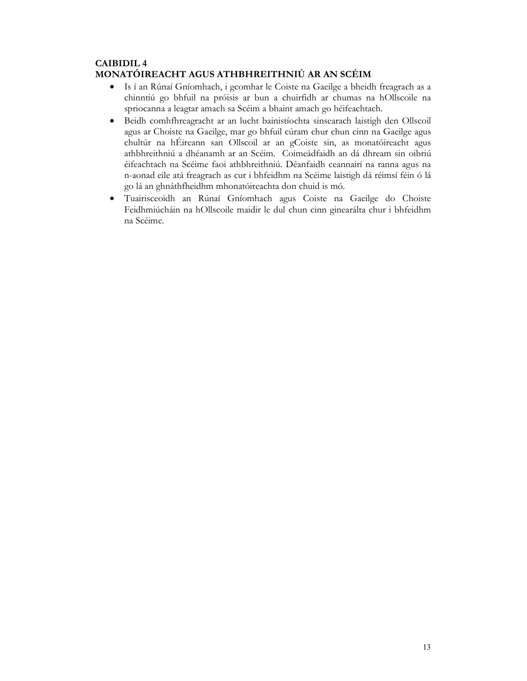# CAIBIDIL 4 MONATÓIREACHT AGUS ATHBHREITHNIÚ AR AN SCÉIM

- Is í an Rúnaí Gníomhach, i gcomhar le Coiste na Gaeilge a bheidh freagrach as a chinntiú go bhfuil na próisis ar bun a chuirfidh ar chumas na hOllscoile na spriocanna a leagtar amach sa Scéim a bhaint amach go héifeachtach.
- Beidh comhfhreagracht ar an lucht bainistíochta sinsearach laistigh den Ollscoil agus ar Choiste na Gaeilge, mar go bhfuil cúram chur chun cinn na Gaeilge agus chultúr na hÉireann san Ollscoil ar an gCoiste sin, as monatóireacht agus athbhreithniú a dhéanamh ar an Scéim. Coimeádfaidh an dá dhream sin oibriú éifeachtach na Scéime faoi athbhreithniú. Déanfaidh ceannairí na ranna agus na n-aonad eile atá freagrach as cur i bhfeidhm na Scéime laistigh dá réimsí féin ó lá go lá an ghnáthfheidhm mhonatóireachta don chuid is mó.
- Tuairisceoidh an Rúnaí Gníomhach agus Coiste na Gaeilge do Choiste Feidhmiúcháin na hOllscoile maidir le dul chun cinn ginearálta chur i bhfeidhm na Scéime.